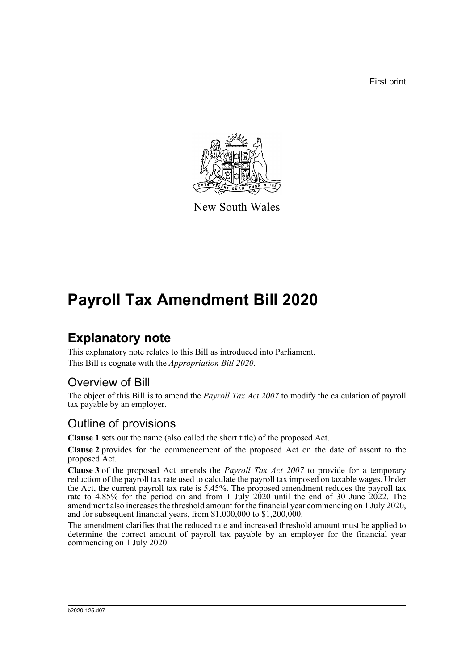First print



New South Wales

# **Payroll Tax Amendment Bill 2020**

### **Explanatory note**

This explanatory note relates to this Bill as introduced into Parliament. This Bill is cognate with the *Appropriation Bill 2020*.

#### Overview of Bill

The object of this Bill is to amend the *Payroll Tax Act 2007* to modify the calculation of payroll tax payable by an employer.

#### Outline of provisions

**Clause 1** sets out the name (also called the short title) of the proposed Act.

**Clause 2** provides for the commencement of the proposed Act on the date of assent to the proposed Act.

**Clause 3** of the proposed Act amends the *Payroll Tax Act 2007* to provide for a temporary reduction of the payroll tax rate used to calculate the payroll tax imposed on taxable wages. Under the Act, the current payroll tax rate is 5.45%. The proposed amendment reduces the payroll tax rate to 4.85% for the period on and from 1 July 2020 until the end of 30 June 2022. The amendment also increases the threshold amount for the financial year commencing on 1 July 2020, and for subsequent financial years, from \$1,000,000 to \$1,200,000.

The amendment clarifies that the reduced rate and increased threshold amount must be applied to determine the correct amount of payroll tax payable by an employer for the financial year commencing on 1 July 2020.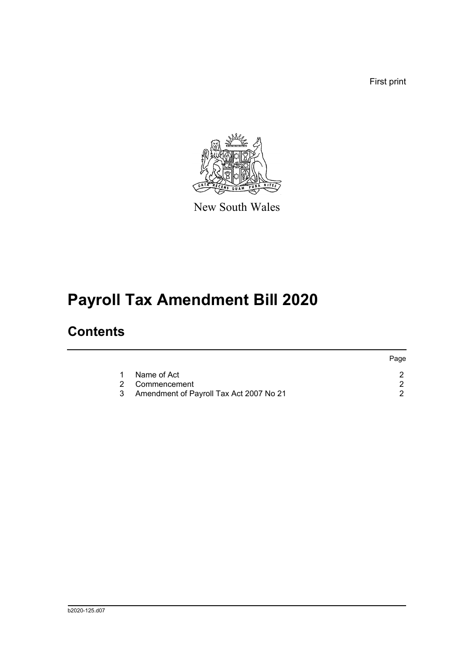First print



New South Wales

# **Payroll Tax Amendment Bill 2020**

### **Contents**

|   |                                           | Page |
|---|-------------------------------------------|------|
| 1 | Name of Act                               |      |
|   | 2 Commencement                            |      |
|   | 3 Amendment of Payroll Tax Act 2007 No 21 |      |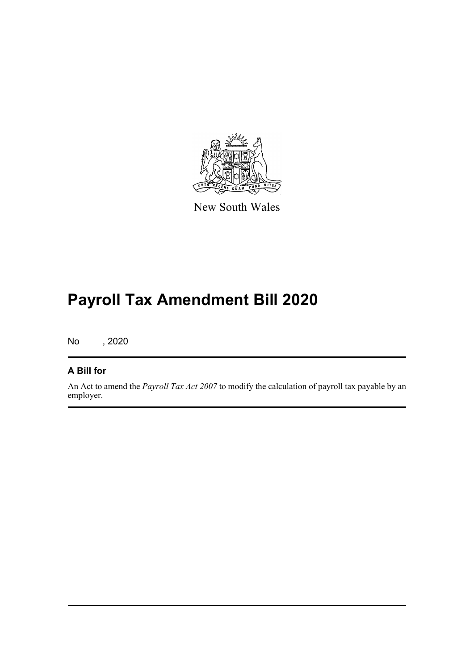

New South Wales

# **Payroll Tax Amendment Bill 2020**

No , 2020

#### **A Bill for**

An Act to amend the *Payroll Tax Act 2007* to modify the calculation of payroll tax payable by an employer.